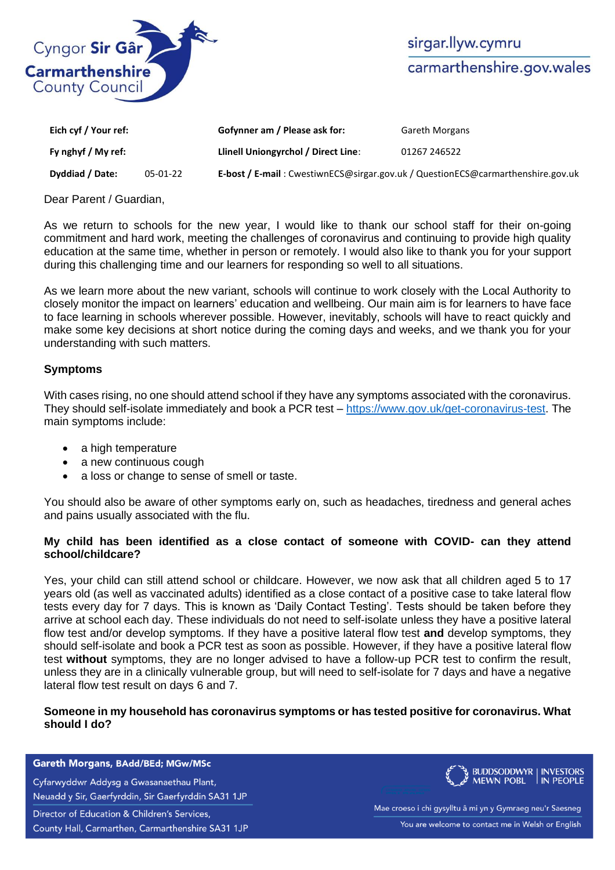

| Eich cyf / Your ref: |          | Gofynner am / Please ask for:                                                   | <b>Gareth Morgans</b> |
|----------------------|----------|---------------------------------------------------------------------------------|-----------------------|
| Fy nghyf / My ref:   |          | Llinell Uniongyrchol / Direct Line:                                             | 01267 246522          |
| Dyddiad / Date:      | 05-01-22 | E-bost / E-mail: CwestiwnECS@sirgar.gov.uk / QuestionECS@carmarthenshire.gov.uk |                       |

Dear Parent / Guardian,

As we return to schools for the new year, I would like to thank our school staff for their on-going commitment and hard work, meeting the challenges of coronavirus and continuing to provide high quality education at the same time, whether in person or remotely. I would also like to thank you for your support during this challenging time and our learners for responding so well to all situations.

As we learn more about the new variant, schools will continue to work closely with the Local Authority to closely monitor the impact on learners' education and wellbeing. Our main aim is for learners to have face to face learning in schools wherever possible. However, inevitably, schools will have to react quickly and make some key decisions at short notice during the coming days and weeks, and we thank you for your understanding with such matters.

# **Symptoms**

With cases rising, no one should attend school if they have any symptoms associated with the coronavirus. They should self-isolate immediately and book a PCR test – [https://www.gov.uk/get-coronavirus-test.](https://www.gov.uk/get-coronavirus-test) The main symptoms include:

- a high temperature
- a new continuous cough
- a loss or change to sense of smell or taste.

You should also be aware of other symptoms early on, such as headaches, tiredness and general aches and pains usually associated with the flu.

# **My child has been identified as a close contact of someone with COVID- can they attend school/childcare?**

Yes, your child can still attend school or childcare. However, we now ask that all children aged 5 to 17 years old (as well as vaccinated adults) identified as a close contact of a positive case to take lateral flow tests every day for 7 days. This is known as 'Daily Contact Testing'. Tests should be taken before they arrive at school each day. These individuals do not need to self-isolate unless they have a positive lateral flow test and/or develop symptoms. If they have a positive lateral flow test **and** develop symptoms, they should self-isolate and book a PCR test as soon as possible. However, if they have a positive lateral flow test **without** symptoms, they are no longer advised to have a follow-up PCR test to confirm the result, unless they are in a clinically vulnerable group, but will need to self-isolate for 7 days and have a negative lateral flow test result on days 6 and 7.

# **Someone in my household has coronavirus symptoms or has tested positive for coronavirus. What should I do?**

#### Gareth Morgans, BAdd/BEd; MGw/MSc

Cyfarwyddwr Addysg a Gwasanaethau Plant, Neuadd y Sir, Gaerfyrddin, Sir Gaerfyrddin SA31 1JP

Director of Education & Children's Services,

County Hall, Carmarthen, Carmarthenshire SA31 1JP



Mae croeso i chi gysylltu â mi yn y Gymraeg neu'r Saesneg You are welcome to contact me in Welsh or English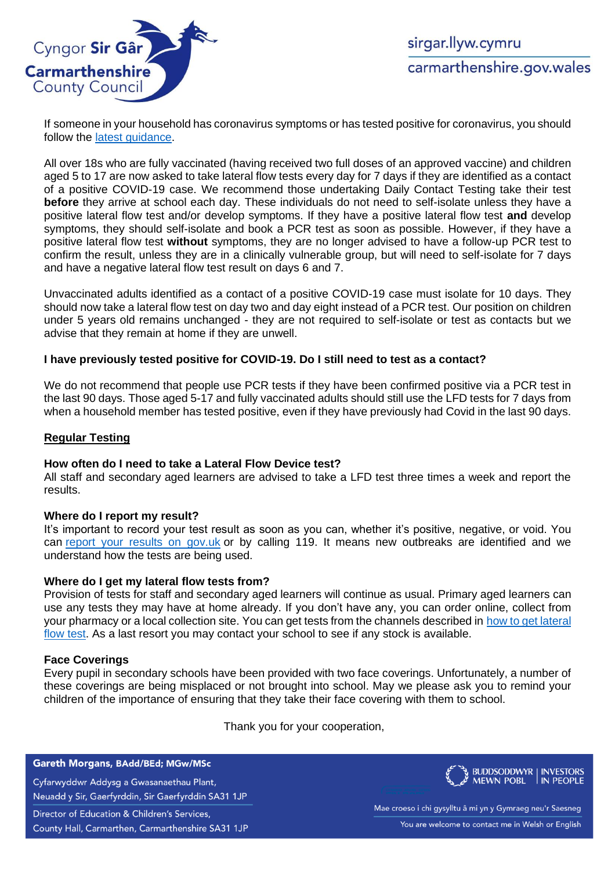

If someone in your household has coronavirus symptoms or has tested positive for coronavirus, you should follow the [latest guidance.](https://gov.wales/self-isolation)

All over 18s who are fully vaccinated (having received two full doses of an approved vaccine) and children aged 5 to 17 are now asked to take lateral flow tests every day for 7 days if they are identified as a contact of a positive COVID-19 case. We recommend those undertaking Daily Contact Testing take their test **before** they arrive at school each day. These individuals do not need to self-isolate unless they have a positive lateral flow test and/or develop symptoms. If they have a positive lateral flow test **and** develop symptoms, they should self-isolate and book a PCR test as soon as possible. However, if they have a positive lateral flow test **without** symptoms, they are no longer advised to have a follow-up PCR test to confirm the result, unless they are in a clinically vulnerable group, but will need to self-isolate for 7 days and have a negative lateral flow test result on days 6 and 7.

Unvaccinated adults identified as a contact of a positive COVID-19 case must isolate for 10 days. They should now take a lateral flow test on day two and day eight instead of a PCR test. Our position on children under 5 years old remains unchanged - they are not required to self-isolate or test as contacts but we advise that they remain at home if they are unwell.

# **I have previously tested positive for COVID-19. Do I still need to test as a contact?**

We do not recommend that people use PCR tests if they have been confirmed positive via a PCR test in the last 90 days. Those aged 5-17 and fully vaccinated adults should still use the LFD tests for 7 days from when a household member has tested positive, even if they have previously had Covid in the last 90 days.

## **Regular Testing**

### **How often do I need to take a Lateral Flow Device test?**

All staff and secondary aged learners are advised to take a LFD test three times a week and report the results.

### **Where do I report my result?**

It's important to record your test result as soon as you can, whether it's positive, negative, or void. You can [report your results on gov.uk](https://www.gov.uk/report-covid19-result) or by calling 119. It means new outbreaks are identified and we understand how the tests are being used.

### **Where do I get my lateral flow tests from?**

Provision of tests for staff and secondary aged learners will continue as usual. Primary aged learners can use any tests they may have at home already. If you don't have any, you can order online, collect from your pharmacy or a local collection site. You can get tests from the channels described in [how to get lateral](https://gov.wales/get-rapid-lateral-flow-covid-19-tests-if-you-do-not-have-symptoms#section-77685)  [flow test.](https://gov.wales/get-rapid-lateral-flow-covid-19-tests-if-you-do-not-have-symptoms#section-77685) As a last resort you may contact your school to see if any stock is available.

### **Face Coverings**

Every pupil in secondary schools have been provided with two face coverings. Unfortunately, a number of these coverings are being misplaced or not brought into school. May we please ask you to remind your children of the importance of ensuring that they take their face covering with them to school.

Thank you for your cooperation,

#### Gareth Morgans, BAdd/BEd; MGw/MSc

Cyfarwyddwr Addysg a Gwasanaethau Plant, Neuadd y Sir, Gaerfyrddin, Sir Gaerfyrddin SA31 1JP

Director of Education & Children's Services,

County Hall, Carmarthen, Carmarthenshire SA31 1JP

**BUDDSODDWYR | INVESTORS MEWN POBL** IN PEOPLE

Mae croeso i chi gysylltu â mi yn y Gymraeg neu'r Saesneg You are welcome to contact me in Welsh or English